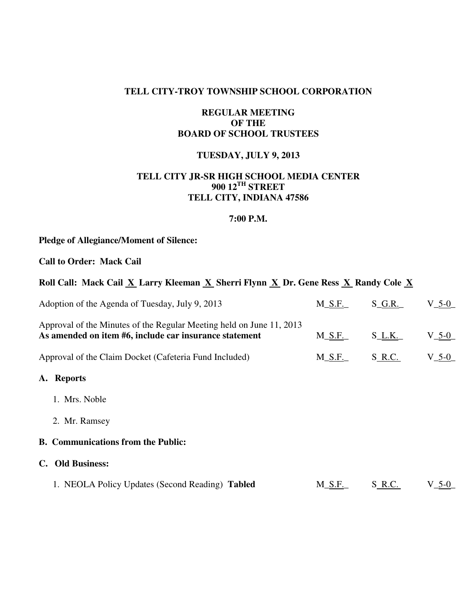## **TELL CITY-TROY TOWNSHIP SCHOOL CORPORATION**

### **REGULAR MEETING OF THE BOARD OF SCHOOL TRUSTEES**

## **TUESDAY, JULY 9, 2013**

## **TELL CITY JR-SR HIGH SCHOOL MEDIA CENTER 900 12TH STREET TELL CITY, INDIANA 47586**

#### **7:00 P.M.**

# **Pledge of Allegiance/Moment of Silence:**

**Call to Order: Mack Cail** 

| Roll Call: Mack Cail X Larry Kleeman X Sherri Flynn X Dr. Gene Ress X Randy Cole X |  |  |
|------------------------------------------------------------------------------------|--|--|
|                                                                                    |  |  |

| Adoption of the Agenda of Tuesday, July 9, 2013                                                                                | $M_S.F.$ | $S_G.R.$  | $V_{-}$ 5-0 |
|--------------------------------------------------------------------------------------------------------------------------------|----------|-----------|-------------|
| Approval of the Minutes of the Regular Meeting held on June 11, 2013<br>As amended on item #6, include car insurance statement | $M_S.F.$ | $S_L.K$ . | $V_{-}$ 5-0 |
| Approval of the Claim Docket (Cafeteria Fund Included)                                                                         | $M_S.F.$ | S R.C.    | $V_5-0$     |
| A. Reports                                                                                                                     |          |           |             |
| 1. Mrs. Noble                                                                                                                  |          |           |             |
| 2. Mr. Ramsey                                                                                                                  |          |           |             |
| <b>B. Communications from the Public:</b>                                                                                      |          |           |             |
| <b>Old Business:</b><br>C.                                                                                                     |          |           |             |
| 1. NEOLA Policy Updates (Second Reading) Tabled                                                                                | $M_S.F.$ | S R.C.    | $V_5-0$     |
|                                                                                                                                |          |           |             |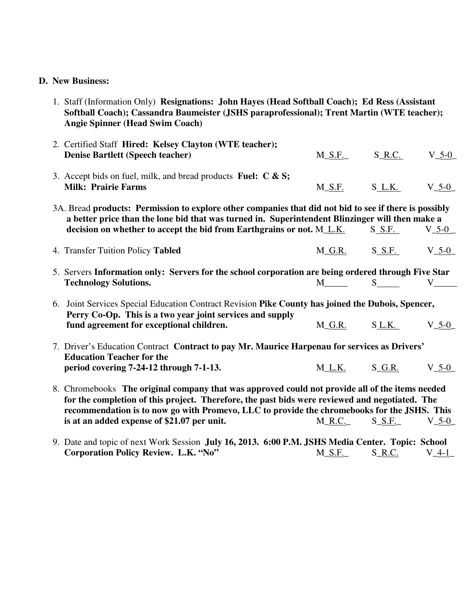# **D. New Business:**

| 1. Staff (Information Only) Resignations: John Hayes (Head Softball Coach); Ed Ress (Assistant<br>Softball Coach); Cassandra Baumeister (JSHS paraprofessional); Trent Martin (WTE teacher);<br><b>Angie Spinner (Head Swim Coach)</b>                                                                                                          |                   |                   |             |
|-------------------------------------------------------------------------------------------------------------------------------------------------------------------------------------------------------------------------------------------------------------------------------------------------------------------------------------------------|-------------------|-------------------|-------------|
| 2. Certified Staff Hired: Kelsey Clayton (WTE teacher);<br><b>Denise Bartlett (Speech teacher)</b>                                                                                                                                                                                                                                              | $M_S.F.$          | $S_R.C.$          | $V_{-5-0}$  |
| 3. Accept bids on fuel, milk, and bread products Fuel: $C & S$ ;<br><b>Milk: Prairie Farms</b>                                                                                                                                                                                                                                                  | <b>M_S.F.</b>     | $S_L.K$ .         | $V_5-0$     |
| 3A. Bread products: Permission to explore other companies that did not bid to see if there is possibly<br>a better price than the lone bid that was turned in. Superintendent Blinzinger will then make a<br>decision on whether to accept the bid from Earthgrains or not. M_L.K.                                                              |                   | $S_S.F.$          | $V_{-}$ 5-0 |
| 4. Transfer Tuition Policy Tabled                                                                                                                                                                                                                                                                                                               |                   | $M_G.R.$ S S.F.   | $V_{-}$ 5-0 |
| 5. Servers Information only: Servers for the school corporation are being ordered through Five Star<br><b>Technology Solutions.</b>                                                                                                                                                                                                             |                   | $S \qquad \qquad$ | V           |
| 6. Joint Services Special Education Contract Revision Pike County has joined the Dubois, Spencer,<br>Perry Co-Op. This is a two year joint services and supply<br>fund agreement for exceptional children.                                                                                                                                      | $M_G.R.$          | S L.K.            | $V_5 - 0$   |
| 7. Driver's Education Contract Contract to pay Mr. Maurice Harpenau for services as Drivers'<br><b>Education Teacher for the</b><br>period covering 7-24-12 through 7-1-13.                                                                                                                                                                     | $M_L.K.$ $S_G.R.$ |                   | $V_5 - 0$   |
| 8. Chromebooks The original company that was approved could not provide all of the items needed<br>for the completion of this project. Therefore, the past bids were reviewed and negotiated. The<br>recommendation is to now go with Promevo, LLC to provide the chromebooks for the JSHS. This<br>is at an added expense of \$21.07 per unit. | $M_R.C.$          | $S_S.F.$          | $V_5-0$     |
| 9 Date and topic of next Work Session July 16, 2013, 6:00 P.M. ISHS Media Center, Topic: School                                                                                                                                                                                                                                                 |                   |                   |             |

9. Date and topic of next Work Session **July 16, 2013. 6:00 P.M. JSHS Media Center. Topic: School Corporation Policy Review. L.K. "No"** M\_S.F. S\_R.C. V\_4-1\_